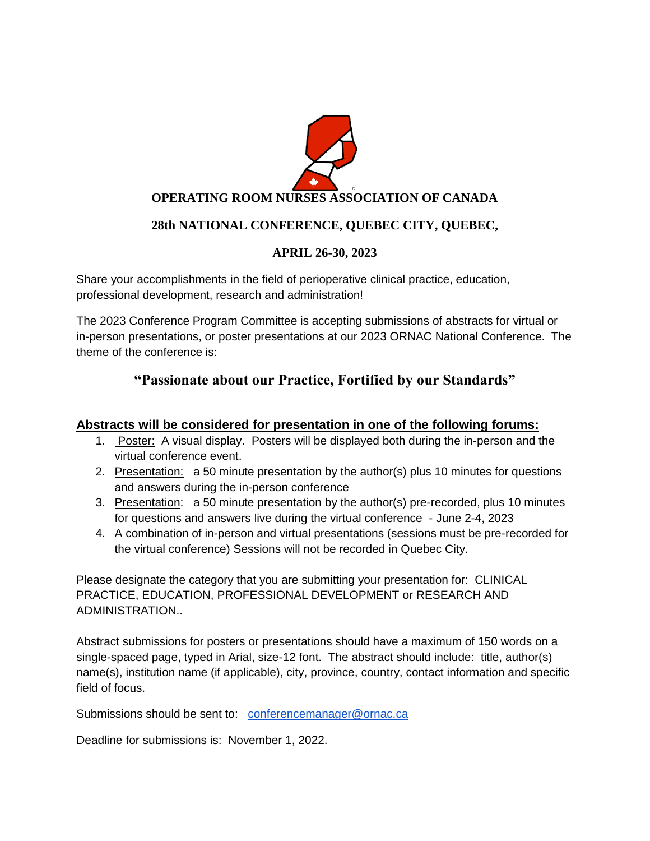

## **28th NATIONAL CONFERENCE, QUEBEC CITY, QUEBEC,**

## **APRIL 26-30, 2023**

Share your accomplishments in the field of perioperative clinical practice, education, professional development, research and administration!

The 2023 Conference Program Committee is accepting submissions of abstracts for virtual or in-person presentations, or poster presentations at our 2023 ORNAC National Conference. The theme of the conference is:

## **"Passionate about our Practice, Fortified by our Standards"**

## **Abstracts will be considered for presentation in one of the following forums:**

- 1. Poster: A visual display. Posters will be displayed both during the in-person and the virtual conference event.
- 2. Presentation: a 50 minute presentation by the author(s) plus 10 minutes for questions and answers during the in-person conference
- 3. Presentation: a 50 minute presentation by the author(s) pre-recorded, plus 10 minutes for questions and answers live during the virtual conference - June 2-4, 2023
- 4. A combination of in-person and virtual presentations (sessions must be pre-recorded for the virtual conference) Sessions will not be recorded in Quebec City.

Please designate the category that you are submitting your presentation for: CLINICAL PRACTICE, EDUCATION, PROFESSIONAL DEVELOPMENT or RESEARCH AND ADMINISTRATION..

Abstract submissions for posters or presentations should have a maximum of 150 words on a single-spaced page, typed in Arial, size-12 font. The abstract should include: title, author(s) name(s), institution name (if applicable), city, province, country, contact information and specific field of focus.

Submissions should be sent to: [conferencemanager@ornac.ca](about:blank)

Deadline for submissions is: November 1, 2022.